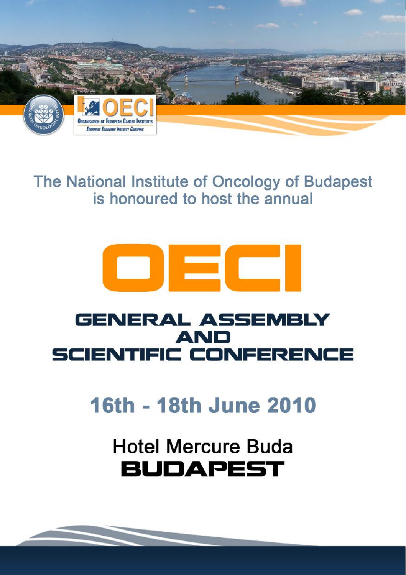

### The National Institute of Oncology of Budapest is honoured to host the annual



### **GENERAL ASSEMBLY AND SCIENTIFIC CONFERENCE**

# 16th - 18th June 2010

# **Hotel Mercure Buda BUDAPEST**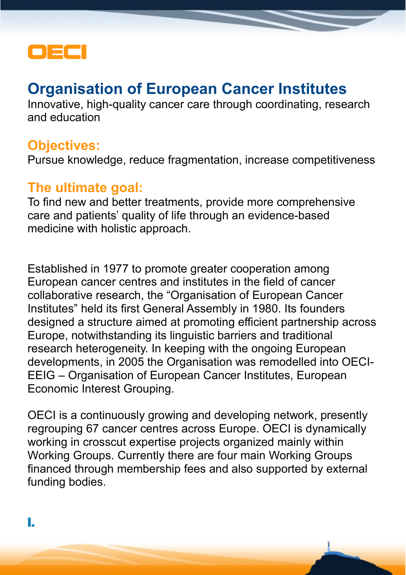

### **Organisation of European Cancer Institutes**

Innovative, high-quality cancer care through coordinating, research and education

#### **Objectives:**

Pursue knowledge, reduce fragmentation, increase competitiveness

### **The ultimate goal:**

To find new and better treatments, provide more comprehensive care and patients' quality of life through an evidence-based medicine with holistic approach.

Established in 1977 to promote greater cooperation among European cancer centres and institutes in the field of cancer collaborative research, the "Organisation of European Cancer Institutes" held its first General Assembly in 1980. Its founders designed a structure aimed at promoting efficient partnership across Europe, notwithstanding its linguistic barriers and traditional research heterogeneity. In keeping with the ongoing European developments, in 2005 the Organisation was remodelled into OECI-EEIG – Organisation of European Cancer Institutes, European Economic Interest Grouping.

OECI is a continuously growing and developing network, presently regrouping 67 cancer centres across Europe. OECI is dynamically working in crosscut expertise projects organized mainly within Working Groups. Currently there are four main Working Groups financed through membership fees and also supported by external funding bodies.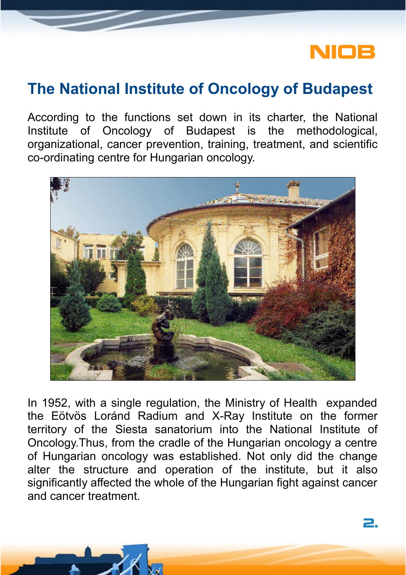

2.

### **The National Institute of Oncology of Budapest**

According to the functions set down in its charter, the National Institute of Oncology of Budapest is the methodological, organizational, cancer prevention, training, treatment, and scientific co-ordinating centre for Hungarian oncology.



In 1952, with a single regulation, the Ministry of Health expanded the Eötvös Loránd Radium and X-Ray Institute on the former territory of the Siesta sanatorium into the National Institute of Oncology.Thus, from the cradle of the Hungarian oncology a centre of Hungarian oncology was established. Not only did the change alter the structure and operation of the institute, but it also significantly affected the whole of the Hungarian fight against cancer and cancer treatment.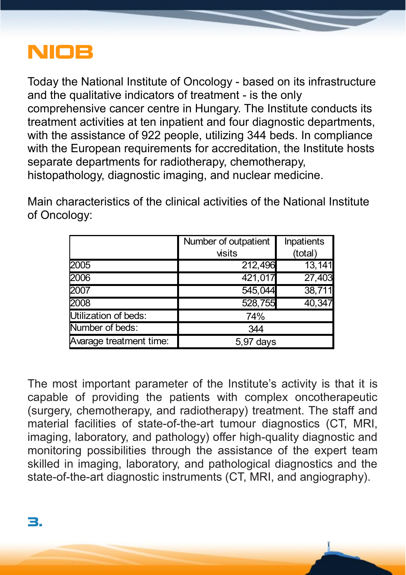

Today the National Institute of Oncology - based on its infrastructure and the qualitative indicators of treatment - is the only comprehensive cancer centre in Hungary. The Institute conducts its treatment activities at ten inpatient and four diagnostic departments, with the assistance of 922 people, utilizing 344 beds. In compliance with the European requirements for accreditation, the Institute hosts separate departments for radiotherapy, chemotherapy, histopathology, diagnostic imaging, and nuclear medicine.

Main characteristics of the clinical activities of the National Institute of Oncology:

|                         | Number of outpatient | Inpatients |
|-------------------------|----------------------|------------|
|                         | visits               | (total)    |
| 2005                    | 212,496              | 13, 141    |
| 2006                    | 421,017              | 27,403     |
| 2007                    | 545,044              | 38,711     |
| 2008                    | 528,755              | 40,347     |
| Utilization of beds:    | 74%                  |            |
| Number of beds:         | 344                  |            |
| Avarage treatment time: | 5,97 days            |            |

The most important parameter of the Institute's activity is that it is capable of providing the patients with complex oncotherapeutic (surgery, chemotherapy, and radiotherapy) treatment. The staff and material facilities of state-of-the-art tumour diagnostics (CT, MRI, imaging, laboratory, and pathology) offer high-quality diagnostic and monitoring possibilities through the assistance of the expert team skilled in imaging, laboratory, and pathological diagnostics and the state-of-the-art diagnostic instruments (CT, MRI, and angiography).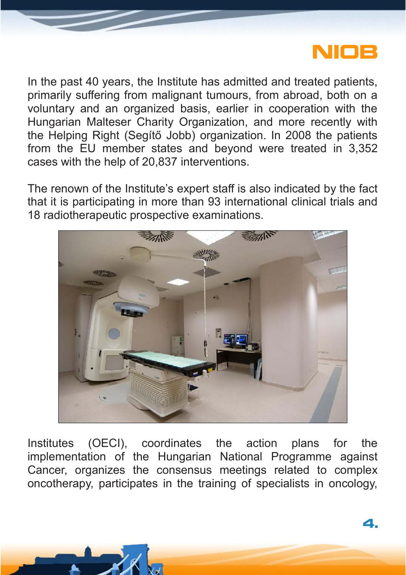

In the past 40 years, the Institute has admitted and treated patients, primarily suffering from malignant tumours, from abroad, both on a voluntary and an organized basis, earlier in cooperation with the Hungarian Malteser Charity Organization, and more recently with the Helping Right (Segítő Jobb) organization. In 2008 the patients from the EU member states and beyond were treated in 3,352 cases with the help of 20,837 interventions.

The renown of the Institute's expert staff is also indicated by the fact that it is participating in more than 93 international clinical trials and 18 radiotherapeutic prospective examinations.



Institutes (OECI), coordinates the action plans for the implementation of the Hungarian National Programme against Cancer, organizes the consensus meetings related to complex oncotherapy, participates in the training of specialists in oncology,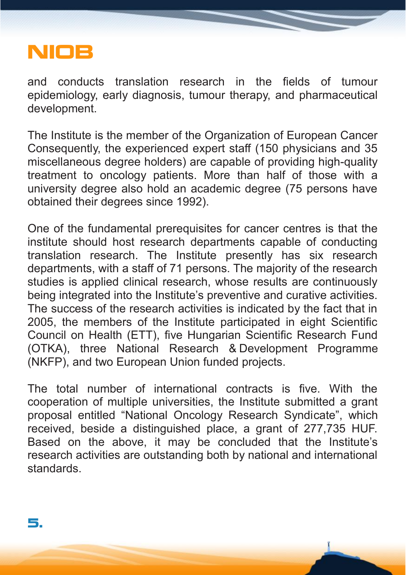

and conducts translation research in the fields of tumour epidemiology, early diagnosis, tumour therapy, and pharmaceutical development.

The Institute is the member of the Organization of European Cancer Consequently, the experienced expert staff (150 physicians and 35 miscellaneous degree holders) are capable of providing high-quality treatment to oncology patients. More than half of those with a university degree also hold an academic degree (75 persons have obtained their degrees since 1992).

One of the fundamental prerequisites for cancer centres is that the institute should host research departments capable of conducting translation research. The Institute presently has six research departments, with a staff of 71 persons. The majority of the research studies is applied clinical research, whose results are continuously being integrated into the Institute's preventive and curative activities. The success of the research activities is indicated by the fact that in 2005, the members of the Institute participated in eight Scientific Council on Health (ETT), five Hungarian Scientific Research Fund (OTKA), three National Research & Development Programme (NKFP), and two European Union funded projects.

The total number of international contracts is five. With the cooperation of multiple universities, the Institute submitted a grant proposal entitled "National Oncology Research Syndicate", which received, beside a distinguished place, a grant of 277,735 HUF. Based on the above, it may be concluded that the Institute's research activities are outstanding both by national and international standards.

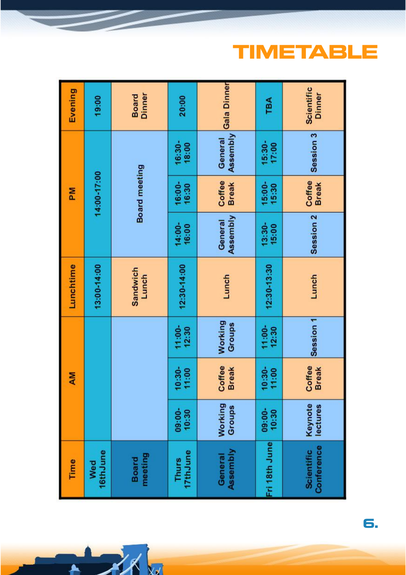| Time                     |                     | ΜĄ                     |                   | Lunchtime         |                      | M                      |                     | Evening                |
|--------------------------|---------------------|------------------------|-------------------|-------------------|----------------------|------------------------|---------------------|------------------------|
|                          |                     |                        |                   | 13:00-14:00       |                      | 14:00-17:00            |                     | 19:00                  |
|                          |                     |                        |                   | Sandwich<br>Lunch |                      | Board meeting          |                     | Dinner<br><b>Board</b> |
|                          | 09:00-<br>10:30     | $10:30-$               | 11:00-<br>12:30   | 12:30-14:00       | 14:00-<br>16:00      | 16:00-<br>16:30        | $16:30-$<br>18:00   | 20:00                  |
| Assembly                 | Working<br>Groups   | Coffee<br><b>Break</b> | Working<br>Groups | Lunch             | Assembly<br>General  | Coffee<br><b>Break</b> | Assembly<br>General | Gala Dinner            |
| Fri 18th June            | $09:00-$<br>10:30   | $10:30-$<br>11:00      | $11:00-$<br>12:30 | 12:30-13:30       | $13:30-$<br>15:00    | $15:00-$<br>15:30      | $15:30-$<br>17:00   | TBA                    |
| Conference<br>Scientific | Keynote<br>lectures | Coffee<br><b>Break</b> | Session 1         | Lunch             | Session <sub>2</sub> | Coffee<br><b>Break</b> | Session 3           | Scientific<br>Dinner   |

メー

# **TIMETABLE**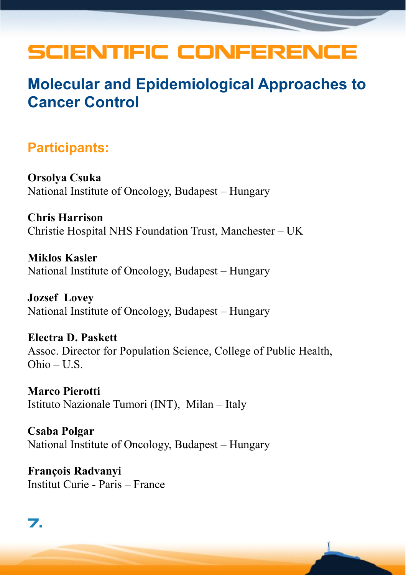## SCIENTIFIC CONFERENCE

### **Molecular and Epidemiological Approaches to Cancer Control**

#### **Participants:**

**Orsolya Csuka**  National Institute of Oncology, Budapest – Hungary

**Chris Harrison** Christie Hospital NHS Foundation Trust, Manchester – UK

**Miklos Kasler**  National Institute of Oncology, Budapest – Hungary

**Jozsef Lovey**  National Institute of Oncology, Budapest – Hungary

**Electra D. Paskett**  Assoc. Director for Population Science, College of Public Health,  $Ohio – I.S.$ 

**Marco Pierotti**  Istituto Nazionale Tumori (INT), Milan – Italy

**Csaba Polgar**  National Institute of Oncology, Budapest – Hungary

**François Radvanyi**  Institut Curie - Paris – France

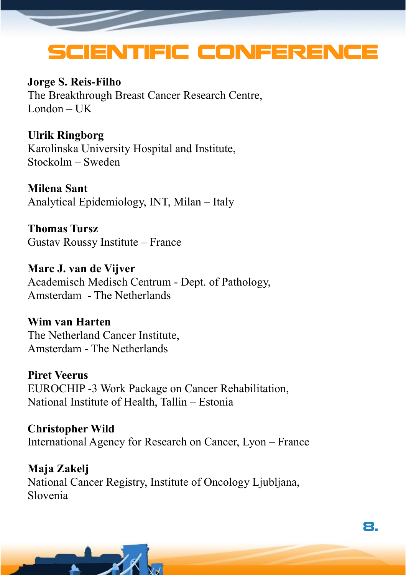## SCIENTIFIC CONFERENCE

**Jorge S. Reis-Filho**  The Breakthrough Breast Cancer Research Centre, London  $-$  UK

**Ulrik Ringborg**  Karolinska University Hospital and Institute, Stockolm – Sweden

**Milena Sant** Analytical Epidemiology, INT, Milan – Italy

**Thomas Tursz**  Gustav Roussy Institute – France

**Marc J. van de Vijver** Academisch Medisch Centrum - Dept. of Pathology, Amsterdam - The Netherlands

**Wim van Harten**  The Netherland Cancer Institute, Amsterdam - The Netherlands

**Piret Veerus** EUROCHIP -3 Work Package on Cancer Rehabilitation, National Institute of Health, Tallin – Estonia

**Christopher Wild**  International Agency for Research on Cancer, Lyon – France

**Maja Zakelj**  National Cancer Registry, Institute of Oncology Ljubljana, Slovenia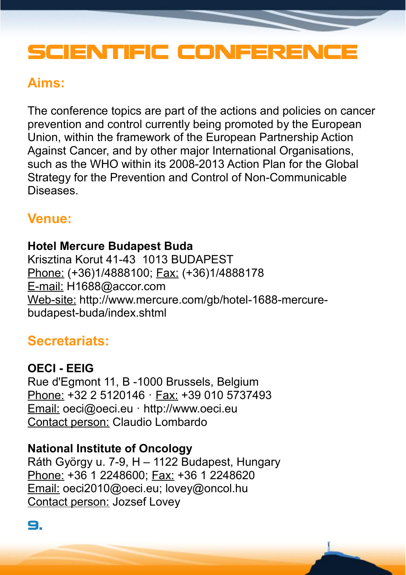## SCIENTIFIC CONFERENCE

### **Aims:**

The conference topics are part of the actions and policies on cancer prevention and control currently being promoted by the European Union, within the framework of the European Partnership Action Against Cancer, and by other major International Organisations, such as the WHO within its 2008-2013 Action Plan for the Global Strategy for the Prevention and Control of Non-Communicable Diseases.

### **Venue:**

#### **Hotel Mercure Budapest Buda**

Krisztina Korut 41-43 1013 BUDAPEST Phone: (+36)1/4888100; Fax: (+36)1/4888178 E-mail: H1688@accor.com Web-site: http://www.mercure.com/gb/hotel-1688-mercurebudapest-buda/index.shtml

### **Secretariats:**

#### **OECI - EEIG**

Rue d'Egmont 11, B -1000 Brussels, Belgium Phone: +32 2 5120146 · Fax: +39 010 5737493 Email: oeci@oeci.eu · http://www.oeci.eu Contact person: Claudio Lombardo

#### **National Institute of Oncology**

Ráth György u. 7-9, H – 1122 Budapest, Hungary Phone: +36 1 2248600; Fax: +36 1 2248620 Email: oeci2010@oeci.eu; lovey@oncol.hu Contact person: Jozsef Lovey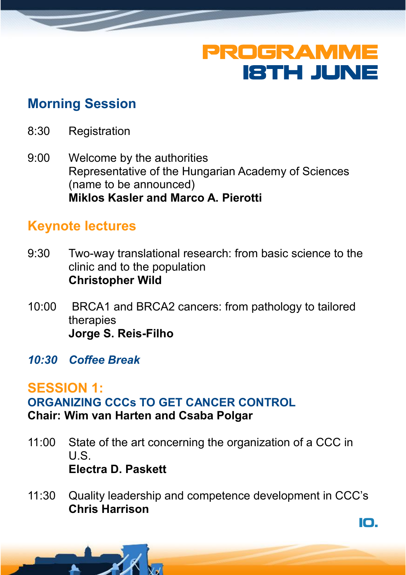## PROGRAMME 18TH JUNE

10.

### **Morning Session**

- 8:30 Registration
- 9:00 Welcome by the authorities Representative of the Hungarian Academy of Sciences (name to be announced) **Miklos Kasler and Marco A. Pierotti**

### **Keynote lectures**

- 9:30 Two-way translational research: from basic science to the clinic and to the population **Christopher Wild**
- 10:00 BRCA1 and BRCA2 cancers: from pathology to tailored therapies **Jorge S. Reis-Filho**
- *10:30 Coffee Break*

#### **SESSION 1:**

#### **ORGANIZING CCCs TO GET CANCER CONTROL Chair: Wim van Harten and Csaba Polgar**

- 11:00 State of the art concerning the organization of a CCC in  $U.S.$ **Electra D. Paskett**
- 11:30 Quality leadership and competence development in CCC's **Chris Harrison**

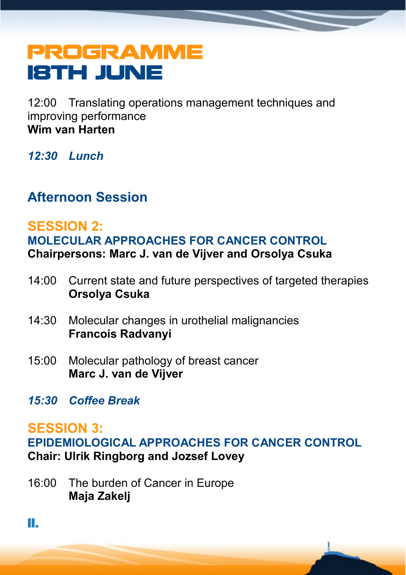## PROGRAMME 18TH JUNE

12:00 Translating operations management techniques and improving performance **Wim van Harten**

*12:30 Lunch*

### **Afternoon Session**

#### **SESSION 2: MOLECULAR APPROACHES FOR CANCER CONTROL Chairpersons: Marc J. van de Vijver and Orsolya Csuka**

- 14:00 Current state and future perspectives of targeted therapies **Orsolya Csuka**
- 14:30 Molecular changes in urothelial malignancies **Francois Radvanyi**
- 15:00 Molecular pathology of breast cancer **Marc J. van de Vijver**
- *15:30 Coffee Break*

#### **SESSION 3:**

11.

**EPIDEMIOLOGICAL APPROACHES FOR CANCER CONTROL Chair: Ulrik Ringborg and Jozsef Lovey**

16:00 The burden of Cancer in Europe **Maja Zakelj**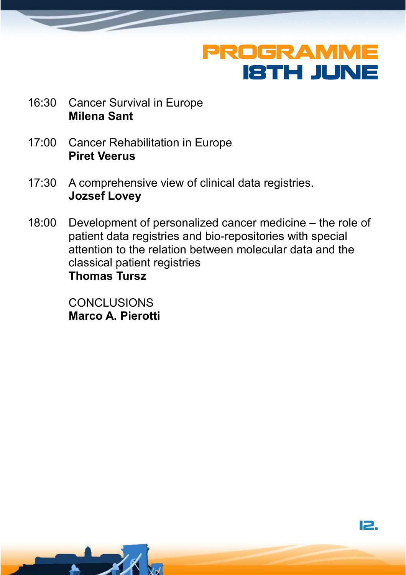## PROGRAMME 18TH JUNE

12.

- 16:30 Cancer Survival in Europe **Milena Sant**
- 17:00 Cancer Rehabilitation in Europe **Piret Veerus**
- 17:30 A comprehensive view of clinical data registries. **Jozsef Lovey**
- 18:00 Development of personalized cancer medicine the role of patient data registries and bio-repositories with special attention to the relation between molecular data and the classical patient registries

**Thomas Tursz**

**CONCLUSIONS Marco A. Pierotti**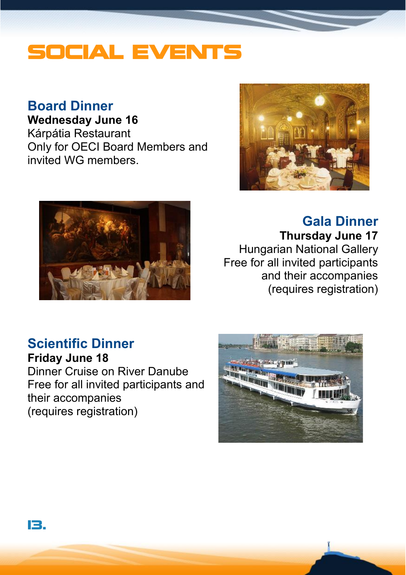## SOCIAL EVENTS

### **Board Dinner**

**Wednesday June 16** Kárpátia Restaurant Only for OECI Board Members and invited WG members.





#### **Gala Dinner Thursday June 17** Hungarian National Gallery Free for all invited participants and their accompanies (requires registration)

#### **Scientific Dinner Friday June 18**

Dinner Cruise on River Danube Free for all invited participants and their accompanies (requires registration)

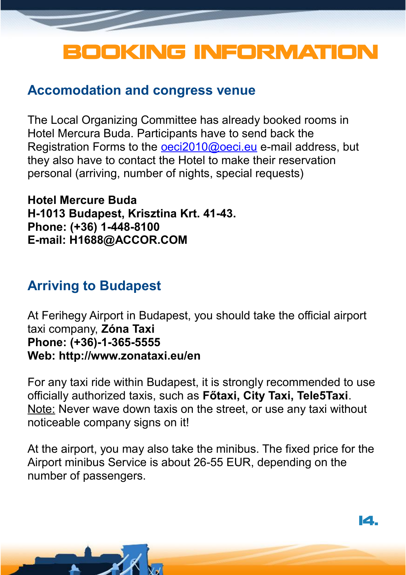## BOOKING INFORMATION

#### **Accomodation and congress venue**

The Local Organizing Committee has already booked rooms in Hotel Mercura Buda. Participants have to send back the Registration Forms to the [oeci2010@oeci.eu](mailto:oeci2010@oeci.eu) e-mail address, but they also have to contact the Hotel to make their reservation personal (arriving, number of nights, special requests)

**Hotel Mercure Buda H-1013 Budapest, Krisztina Krt. 41-43. Phone: (+36) 1-448-8100 E-mail: H1688@ACCOR.COM**

### **Arriving to Budapest**

At Ferihegy Airport in Budapest, you should take the official airport taxi company, **Zóna Taxi Phone: (+36)-1-365-5555 Web: http://www.zonataxi.eu/en**

For any taxi ride within Budapest, it is strongly recommended to use officially authorized taxis, such as **Főtaxi, City Taxi, Tele5Taxi**. Note: Never wave down taxis on the street, or use any taxi without noticeable company signs on it!

At the airport, you may also take the minibus. The fixed price for the Airport minibus Service is about 26-55 EUR, depending on the number of passengers.

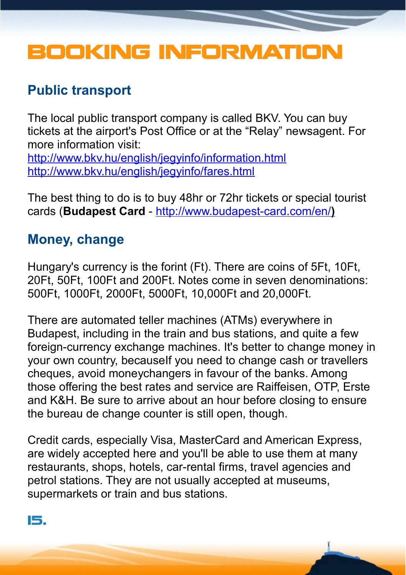## BOOKING INFORMATION

### **Public transport**

The local public transport company is called BKV. You can buy tickets at the airport's Post Office or at the "Relay" newsagent. For more information visit:

<http://www.bkv.hu/english/jegyinfo/information.html> <http://www.bkv.hu/english/jegyinfo/fares.html>

The best thing to do is to buy 48hr or 72hr tickets or special tourist cards (**Budapest Card** -<http://www.budapest-card.com/en/>**)**

### **Money, change**

Hungary's currency is the forint (Ft). There are coins of 5Ft, 10Ft, 20Ft, 50Ft, 100Ft and 200Ft. Notes come in seven denominations: 500Ft, 1000Ft, 2000Ft, 5000Ft, 10,000Ft and 20,000Ft.

There are automated teller machines (ATMs) everywhere in Budapest, including in the train and bus stations, and quite a few foreign-currency exchange machines. It's better to change money in your own country, becauself you need to change cash or travellers cheques, avoid moneychangers in favour of the banks. Among those offering the best rates and service are Raiffeisen, OTP, Erste and K&H. Be sure to arrive about an hour before closing to ensure the bureau de change counter is still open, though.

Credit cards, especially Visa, MasterCard and American Express, are widely accepted here and you'll be able to use them at many restaurants, shops, hotels, car-rental firms, travel agencies and petrol stations. They are not usually accepted at museums, supermarkets or train and bus stations.

15.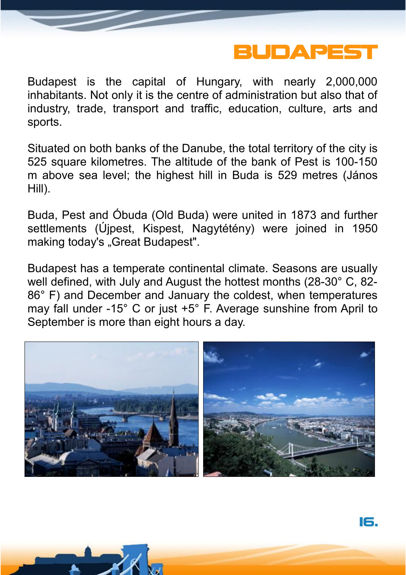

Budapest is the capital of Hungary, with nearly 2,000,000 inhabitants. Not only it is the centre of administration but also that of industry, trade, transport and traffic, education, culture, arts and sports. The contract of the contract of the contract of the contract of the contract of the contract of the contract of the contract of the contract of the contract of the contract of the contract of the contract of the co

Situated on both banks of the Danube, the total territory of the city is 525 square kilometres. The altitude of the bank of Pest is 100-150 m above sea level; the highest hill in Buda is 529 metres (János Hill).

Buda, Pest and Óbuda (Old Buda) were united in 1873 and further settlements (Újpest, Kispest, Nagytétény) were joined in 1950 making today's "Great Budapest".

Budapest has a temperate continental climate. Seasons are usually well defined, with July and August the hottest months (28-30° C, 82- 86° F) and December and January the coldest, when temperatures may fall under -15° C or just +5° F. Average sunshine from April to September is more than eight hours a day.

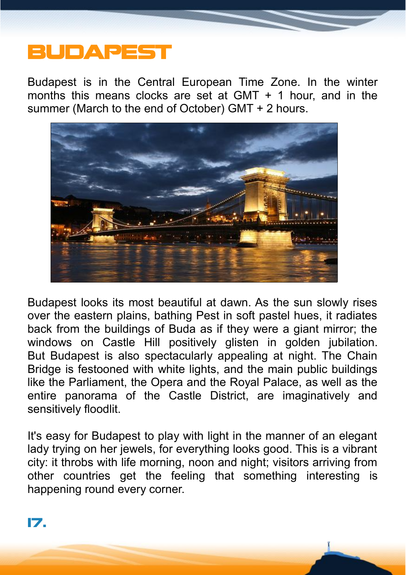Budapest is in the Central European Time Zone. In the winter months this means clocks are set at GMT  $+$  1 hour, and in the summer (March to the end of October) GMT + 2 hours.



Budapest looks its most beautiful at dawn. As the sun slowly rises over the eastern plains, bathing Pest in soft pastel hues, it radiates back from the buildings of Buda as if they were a giant mirror; the windows on Castle Hill positively glisten in golden jubilation. But Budapest is also spectacularly appealing at night. The Chain Bridge is festooned with white lights, and the main public buildings like the Parliament, the Opera and the Royal Palace, as well as the entire panorama of the Castle District, are imaginatively and sensitively floodlit.

It's easy for Budapest to play with light in the manner of an elegant lady trying on her jewels, for everything looks good. This is a vibrant city: it throbs with life morning, noon and night; visitors arriving from other countries get the feeling that something interesting is happening round every corner.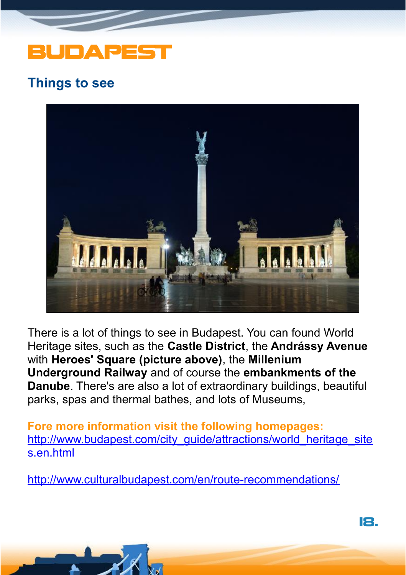#### **Things to see**



There is a lot of things to see in Budapest. You can found World Heritage sites, such as the **Castle District**, the **Andrássy Avenue** with **Heroes' Square (picture above)**, the **Millenium Underground Railway** and of course the **embankments of the Danube**. There's are also a lot of extraordinary buildings, beautiful parks, spas and thermal bathes, and lots of Museums,

**Fore more information visit the following homepages:** http://www.budapest.com/city\_quide/attractions/world\_heritage\_site [s.en.html](http://www.budapest.com/city_guide/attractions/world_heritage_sites.en.html)

<http://www.culturalbudapest.com/en/route-recommendations/>

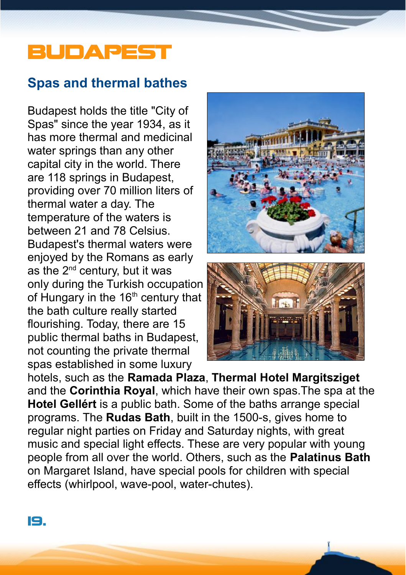#### **Spas and thermal bathes**

Budapest holds the title "City of Spas" since the year 1934, as it has more thermal and medicinal water springs than any other capital city in the world. There are 118 springs in Budapest, providing over 70 million liters of thermal water a day. The temperature of the waters is between 21 and 78 Celsius. Budapest's thermal waters were enjoyed by the Romans as early as the  $2^{nd}$  century, but it was only during the Turkish occupation of Hungary in the 16<sup>th</sup> century that the bath culture really started flourishing. Today, there are 15 public thermal baths in Budapest, not counting the private thermal spas established in some luxury



hotels, such as the **Ramada Plaza**, **Thermal Hotel Margitsziget** and the **Corinthia Royal**, which have their own spas.The spa at the **Hotel Gellért** is a public bath. Some of the baths arrange special programs. The **Rudas Bath**, built in the 1500-s, gives home to regular night parties on Friday and Saturday nights, with great music and special light effects. These are very popular with young people from all over the world. Others, such as the **Palatinus Bath** on Margaret Island, have special pools for children with special effects (whirlpool, wave-pool, water-chutes).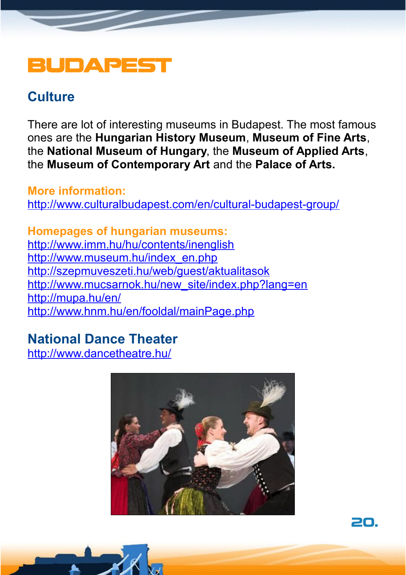### **Culture**

There are lot of interesting museums in Budapest. The most famous ones are the **Hungarian History Museum**, **Museum of Fine Arts**, the **National Museum of Hungary**, the **Museum of Applied Arts**, the **Museum of Contemporary Art** and the **Palace of Arts.**

**More information:** <http://www.culturalbudapest.com/en/cultural-budapest-group/>

**Homepages of hungarian museums:** <http://www.imm.hu/hu/contents/inenglish> [http://www.museum.hu/index\\_en.php](http://www.museum.hu/index_en.php) <http://szepmuveszeti.hu/web/guest/aktualitasok> [http://www.mucsarnok.hu/new\\_site/index.php?lang=en](http://www.mucsarnok.hu/new_site/index.php?lang=en) <http://mupa.hu/en/> <http://www.hnm.hu/en/fooldal/mainPage.php>

### **National Dance Theater**

<http://www.dancetheatre.hu/>



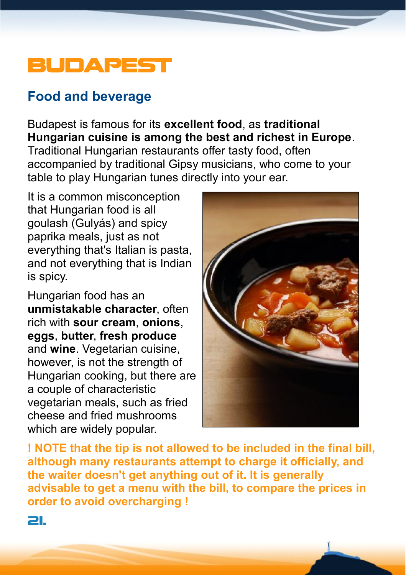### **Food and beverage**

Budapest is famous for its **excellent food**, as **traditional Hungarian cuisine is among the best and richest in Europe**. Traditional Hungarian restaurants offer tasty food, often accompanied by traditional Gipsy musicians, who come to your table to play Hungarian tunes directly into your ear.

It is a common misconception that Hungarian food is all goulash (Gulyás) and spicy paprika meals, just as not everything that's Italian is pasta, and not everything that is Indian is spicy.

Hungarian food has an **unmistakable character**, often rich with **sour cream**, **onions**, **eggs**, **butter**, **fresh produce** and **wine**. Vegetarian cuisine, however, is not the strength of Hungarian cooking, but there are a couple of characteristic vegetarian meals, such as fried cheese and fried mushrooms which are widely popular.



**! NOTE that the tip is not allowed to be included in the final bill, although many restaurants attempt to charge it officially, and the waiter doesn't get anything out of it. It is generally advisable to get a menu with the bill, to compare the prices in order to avoid overcharging !**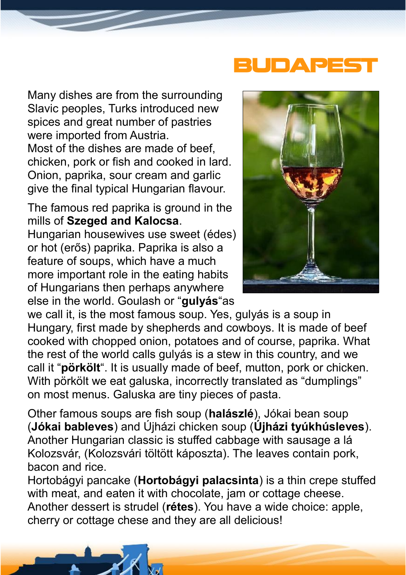Many dishes are from the surrounding Slavic peoples, Turks introduced new spices and great number of pastries were imported from Austria. Most of the dishes are made of beef, chicken, pork or fish and cooked in lard. Onion, paprika, sour cream and garlic give the final typical Hungarian flavour.

The famous red paprika is ground in the mills of **Szeged and Kalocsa**.

Hungarian housewives use sweet (édes) or hot (erős) paprika. Paprika is also a feature of soups, which have a much more important role in the eating habits of Hungarians then perhaps anywhere else in the world. Goulash or "**gulyás**"as



we call it, is the most famous soup. Yes, gulyás is a soup in Hungary, first made by shepherds and cowboys. It is made of beef cooked with chopped onion, potatoes and of course, paprika. What the rest of the world calls gulyás is a stew in this country, and we call it "**pörkölt**". It is usually made of beef, mutton, pork or chicken. With pörkölt we eat galuska, incorrectly translated as "dumplings" on most menus. Galuska are tiny pieces of pasta.

Other famous soups are fish soup (**halászlé**), Jókai bean soup (**Jókai bableves**) and Újházi chicken soup (**Újházi tyúkhúsleves**). Another Hungarian classic is stuffed cabbage with sausage a lá Kolozsvár, (Kolozsvári töltött káposzta). The leaves contain pork, bacon and rice.

Hortobágyi pancake (**Hortobágyi palacsinta**) is a thin crepe stuffed with meat, and eaten it with chocolate, jam or cottage cheese. Another dessert is strudel (**rétes**). You have a wide choice: apple, cherry or cottage chese and they are all delicious!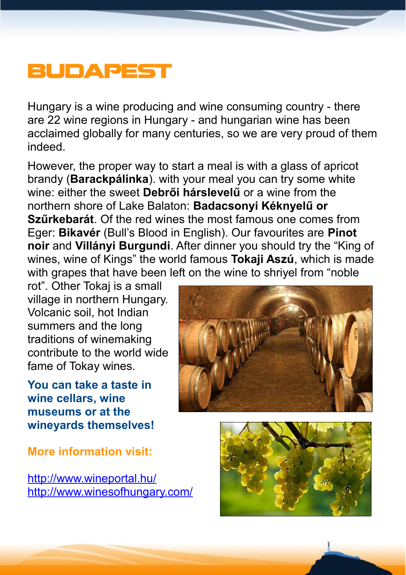Hungary is a wine producing and wine consuming country - there are 22 wine regions in Hungary - and hungarian wine has been acclaimed globally for many centuries, so we are very proud of them indeed.

However, the proper way to start a meal is with a glass of apricot brandy (**Barackpálinka**). with your meal you can try some white wine: either the sweet **Debrői hárslevelű** or a wine from the northern shore of Lake Balaton: **Badacsonyi Kéknyelű or Szűrkebarát**. Of the red wines the most famous one comes from Eger: **Bikavér** (Bull's Blood in English). Our favourites are **Pinot noir** and **Villányi Burgundi**. After dinner you should try the "King of wines, wine of Kings" the world famous **Tokaji Aszú**, which is made with grapes that have been left on the wine to shriyel from "noble

rot". Other Tokaj is a small village in northern Hungary. Volcanic soil, hot Indian summers and the long traditions of winemaking contribute to the world wide fame of Tokay wines.

**You can take a taste in wine cellars, wine museums or at the wineyards themselves!**

**More information visit:**

<http://www.wineportal.hu/> <http://www.winesofhungary.com/>



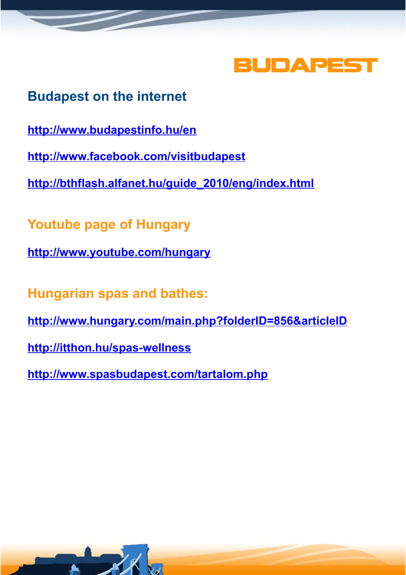

#### **Budapest on the internet**

- **<http://www.budapestinfo.hu/en>**
- **<http://www.facebook.com/visitbudapest>**
- **[http://bthflash.alfanet.hu/guide\\_2010/eng/index.html](http://bthflash.alfanet.hu/guide_2010/eng/index.html)**
- **Youtube page of Hungary**
- **<http://www.youtube.com/hungary>**
- **Hungarian spas and bathes:**
- **<http://www.hungary.com/main.php?folderID=856&articleID>**
- **<http://itthon.hu/spas-wellness>**
- **<http://www.spasbudapest.com/tartalom.php>**